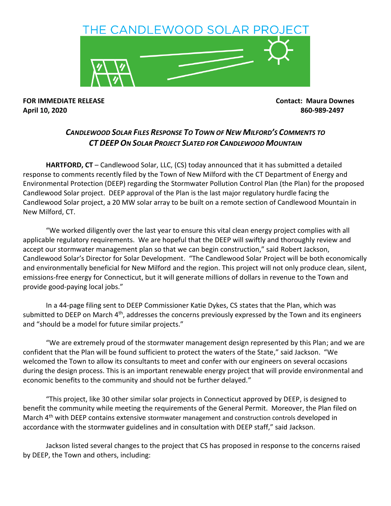

**FOR IMMEDIATE RELEASE Contact: Maura Downes April 10, 2020 860-989-2497**

## *CANDLEWOOD SOLAR FILES RESPONSE TO TOWN OF NEW MILFORD'S COMMENTS TO CT DEEP ON SOLAR PROJECT SLATED FOR CANDLEWOOD MOUNTAIN*

HARTFORD, CT - Candlewood Solar, LLC, (CS) today announced that it has submitted a detailed response to comments recently filed by the Town of New Milford with the CT Department of Energy and Environmental Protection (DEEP) regarding the Stormwater Pollution Control Plan (the Plan) for the proposed Candlewood Solar project. DEEP approval of the Plan is the last major regulatory hurdle facing the Candlewood Solar project, a 20 MW solar array to be built on a remote section of Candlewood Mountain in New Milford, CT.

"We worked diligently over the last year to ensure this vital clean energy project complies with all applicable regulatory requirements. We are hopeful that the DEEP will swiftly and thoroughly review and accept our stormwater management plan so that we can begin construction," said Robert Jackson, Candlewood Solar's Director for Solar Development. "The Candlewood Solar Project will be both economically and environmentally beneficial for New Milford and the region. This project will not only produce clean, silent, emissions-free energy for Connecticut, but it will generate millions of dollars in revenue to the Town and provide good-paying local jobs."

In a 44-page filing sent to DEEP Commissioner Katie Dykes, CS states that the Plan, which was submitted to DEEP on March 4<sup>th</sup>, addresses the concerns previously expressed by the Town and its engineers and "should be a model for future similar projects."

"We are extremely proud of the stormwater management design represented by this Plan; and we are confident that the Plan will be found sufficient to protect the waters of the State," said Jackson. "We welcomed the Town to allow its consultants to meet and confer with our engineers on several occasions during the design process. This is an important renewable energy project that will provide environmental and economic benefits to the community and should not be further delayed."

"This project, like 30 other similar solar projects in Connecticut approved by DEEP, is designed to benefit the community while meeting the requirements of the General Permit. Moreover, the Plan filed on March 4<sup>th</sup> with DEEP contains extensive stormwater management and construction controls developed in accordance with the stormwater guidelines and in consultation with DEEP staff," said Jackson.

Jackson listed several changes to the project that CS has proposed in response to the concerns raised by DEEP, the Town and others, including: